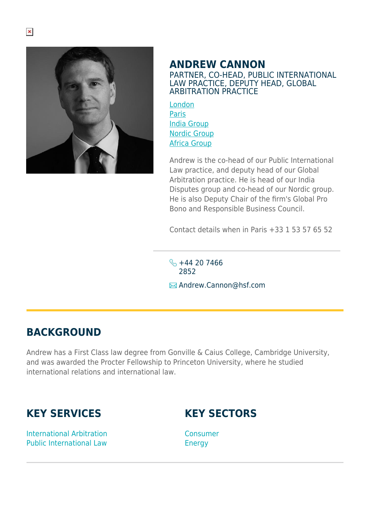

## **ANDREW CANNON**

PARTNER, CO-HEAD, PUBLIC INTERNATIONAL LAW PRACTICE, DEPUTY HEAD, GLOBAL ARBITRATION PRACTICE

[London](https://www.herbertsmithfreehills.com/lang-zh-hans/where-we-work/london) [Paris](https://www.herbertsmithfreehills.com/lang-zh-hans/where-we-work/paris) [India Group](https://www.herbertsmithfreehills.com/lang-zh-hans/where-we-work/india-group) [Nordic Group](https://www.herbertsmithfreehills.com/lang-zh-hans/where-we-work/nordic-group) [Africa Group](https://www.herbertsmithfreehills.com/lang-zh-hans/where-we-work/africa-group)

Andrew is the co-head of our Public International Law practice, and deputy head of our Global Arbitration practice. He is head of our India Disputes group and co-head of our Nordic group. He is also Deputy Chair of the firm's Global Pro Bono and Responsible Business Council.

Contact details when in Paris +33 1 53 57 65 52

 $\frac{1}{2}$  +44 20 7466 2852 **E**Andrew.Cannon@hsf.com

## **BACKGROUND**

Andrew has a First Class law degree from Gonville & Caius College, Cambridge University, and was awarded the Procter Fellowship to Princeton University, where he studied international relations and international law.

## **KEY SERVICES**

**KEY SECTORS**

International Arbitration Public International Law

Consumer **Energy**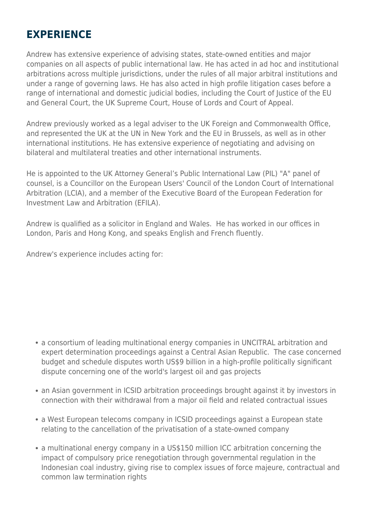## **EXPERIENCE**

Andrew has extensive experience of advising states, state-owned entities and major companies on all aspects of public international law. He has acted in ad hoc and institutional arbitrations across multiple jurisdictions, under the rules of all major arbitral institutions and under a range of governing laws. He has also acted in high profile litigation cases before a range of international and domestic judicial bodies, including the Court of Justice of the EU and General Court, the UK Supreme Court, House of Lords and Court of Appeal.

Andrew previously worked as a legal adviser to the UK Foreign and Commonwealth Office, and represented the UK at the UN in New York and the EU in Brussels, as well as in other international institutions. He has extensive experience of negotiating and advising on bilateral and multilateral treaties and other international instruments.

He is appointed to the UK Attorney General's Public International Law (PIL) "A" panel of counsel, is a Councillor on the European Users' Council of the London Court of International Arbitration (LCIA), and a member of the Executive Board of the European Federation for Investment Law and Arbitration (EFILA).

Andrew is qualified as a solicitor in England and Wales. He has worked in our offices in London, Paris and Hong Kong, and speaks English and French fluently.

Andrew's experience includes acting for:

- a consortium of leading multinational energy companies in UNCITRAL arbitration and expert determination proceedings against a Central Asian Republic. The case concerned budget and schedule disputes worth US\$9 billion in a high-profile politically significant dispute concerning one of the world's largest oil and gas projects
- an Asian government in ICSID arbitration proceedings brought against it by investors in connection with their withdrawal from a major oil field and related contractual issues
- a West European telecoms company in ICSID proceedings against a European state relating to the cancellation of the privatisation of a state-owned company
- a multinational energy company in a US\$150 million ICC arbitration concerning the impact of compulsory price renegotiation through governmental regulation in the Indonesian coal industry, giving rise to complex issues of force majeure, contractual and common law termination rights